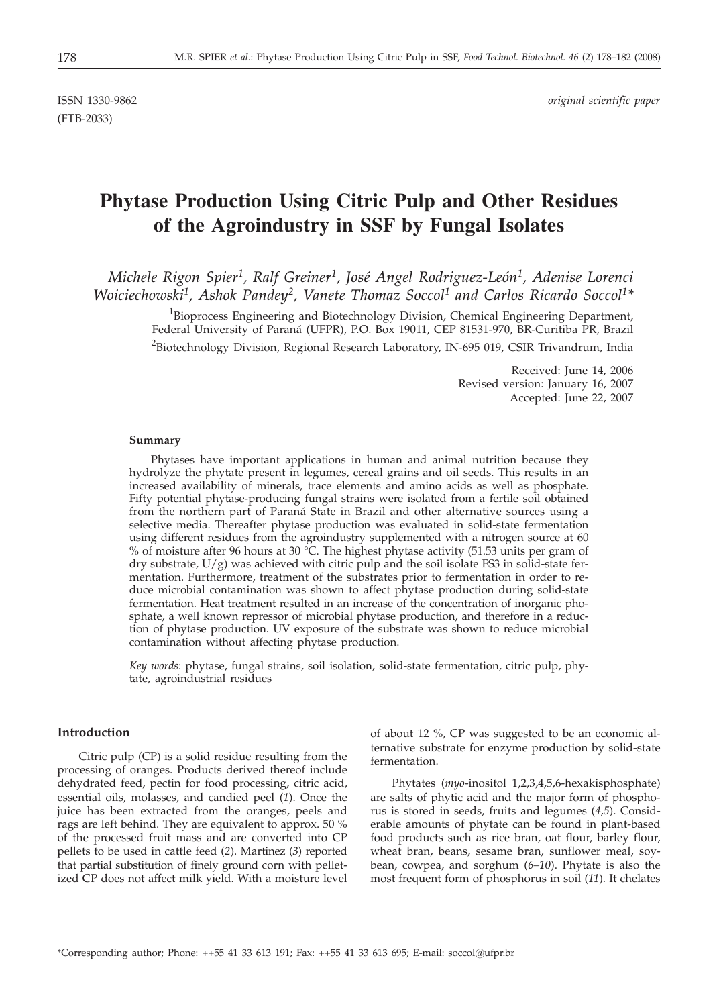(FTB-2033)

ISSN 1330-9862 *original scientific paper*

# **Phytase Production Using Citric Pulp and Other Residues of the Agroindustry in SSF by Fungal Isolates**

*Michele Rigon Spier1, Ralf Greiner1, José Angel Rodriguez-León1, Adenise Lorenci Woiciechowski1, Ashok Pandey2, Vanete Thomaz Soccol1 and Carlos Ricardo Soccol1\**

<sup>1</sup>Bioprocess Engineering and Biotechnology Division, Chemical Engineering Department, Federal University of Paraná (UFPR), P.O. Box 19011, CEP 81531-970, BR-Curitiba PR, Brazil <sup>2</sup>Biotechnology Division, Regional Research Laboratory, IN-695 019, CSIR Trivandrum, India

> Received: June 14, 2006 Revised version: January 16, 2007 Accepted: June 22, 2007

## **Summary**

Phytases have important applications in human and animal nutrition because they hydrolyze the phytate present in legumes, cereal grains and oil seeds. This results in an increased availability of minerals, trace elements and amino acids as well as phosphate. Fifty potential phytase-producing fungal strains were isolated from a fertile soil obtained from the northern part of Paraná State in Brazil and other alternative sources using a selective media. Thereafter phytase production was evaluated in solid-state fermentation using different residues from the agroindustry supplemented with a nitrogen source at 60 % of moisture after 96 hours at 30 °C. The highest phytase activity (51.53 units per gram of dry substrate, U/g) was achieved with citric pulp and the soil isolate FS3 in solid-state fermentation. Furthermore, treatment of the substrates prior to fermentation in order to reduce microbial contamination was shown to affect phytase production during solid-state fermentation. Heat treatment resulted in an increase of the concentration of inorganic phosphate, a well known repressor of microbial phytase production, and therefore in a reduction of phytase production. UV exposure of the substrate was shown to reduce microbial contamination without affecting phytase production.

*Key words*: phytase, fungal strains, soil isolation, solid-state fermentation, citric pulp, phytate, agroindustrial residues

## **Introduction**

Citric pulp (CP) is a solid residue resulting from the processing of oranges. Products derived thereof include dehydrated feed, pectin for food processing, citric acid, essential oils, molasses, and candied peel (*1*). Once the juice has been extracted from the oranges, peels and rags are left behind. They are equivalent to approx. 50 % of the processed fruit mass and are converted into CP pellets to be used in cattle feed (*2*). Martinez (*3*) reported that partial substitution of finely ground corn with pelletized CP does not affect milk yield. With a moisture level

of about 12 %, CP was suggested to be an economic alternative substrate for enzyme production by solid-state fermentation.

Phytates (*myo*-inositol 1,2,3,4,5,6-hexakisphosphate) are salts of phytic acid and the major form of phosphorus is stored in seeds, fruits and legumes (*4,5*). Considerable amounts of phytate can be found in plant-based food products such as rice bran, oat flour, barley flour, wheat bran, beans, sesame bran, sunflower meal, soybean, cowpea, and sorghum (*6–10*). Phytate is also the most frequent form of phosphorus in soil (*11*). It chelates

<sup>\*</sup>Corresponding author; Phone:  $++55$  41 33 613 191; Fax:  $++55$  41 33 613 695; E-mail: soccol@ufpr.br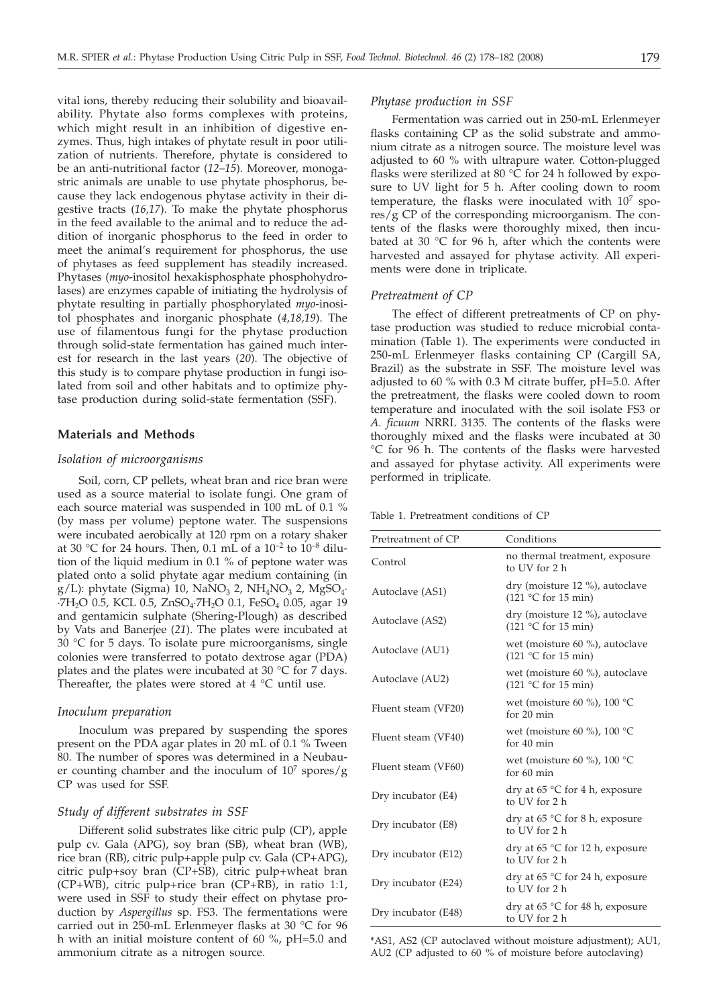Fermentation was carried out in 250-mL Erlenmeyer flasks containing CP as the solid substrate and ammonium citrate as a nitrogen source. The moisture level was adjusted to 60 % with ultrapure water. Cotton-plugged flasks were sterilized at 80 °C for 24 h followed by exposure to UV light for 5 h. After cooling down to room temperature, the flasks were inoculated with  $10<sup>7</sup>$  spores/g CP of the corresponding microorganism. The contents of the flasks were thoroughly mixed, then incubated at 30 °C for 96 h, after which the contents were harvested and assayed for phytase activity. All experiments were done in triplicate. *Pretreatment of CP*

> The effect of different pretreatments of CP on phytase production was studied to reduce microbial contamination (Table 1). The experiments were conducted in 250-mL Erlenmeyer flasks containing CP (Cargill SA, Brazil) as the substrate in SSF. The moisture level was adjusted to 60 % with 0.3 M citrate buffer, pH=5.0. After the pretreatment, the flasks were cooled down to room temperature and inoculated with the soil isolate FS3 or *A. ficuum* NRRL 3135. The contents of the flasks were thoroughly mixed and the flasks were incubated at 30 °C for 96 h. The contents of the flasks were harvested and assayed for phytase activity. All experiments were performed in triplicate.

Table 1. Pretreatment conditions of CP

| Pretreatment of CP  | Conditions                                                                      |
|---------------------|---------------------------------------------------------------------------------|
| Control             | no thermal treatment, exposure<br>to UV for 2 h                                 |
| Autoclave (AS1)     | dry (moisture 12 %), autoclave<br>$(121 \degree C \text{ for } 15 \text{ min})$ |
| Autoclave (AS2)     | dry (moisture 12 %), autoclave<br>$(121 \degree C)$ for 15 min)                 |
| Autoclave (AU1)     | wet (moisture 60 %), autoclave<br>$(121 \degree C)$ for 15 min)                 |
| Autoclave (AU2)     | wet (moisture 60 %), autoclave<br>$(121 \degree C \text{ for } 15 \text{ min})$ |
| Fluent steam (VF20) | wet (moisture 60 %), 100 $^{\circ}$ C<br>for 20 min                             |
| Fluent steam (VF40) | wet (moisture 60 %), 100 $^{\circ}$ C<br>for $40 \text{ min}$                   |
| Fluent steam (VF60) | wet (moisture 60 %), 100 $^{\circ}$ C<br>for $60 \text{ min}$                   |
| Dry incubator (E4)  | dry at $65 \text{ °C}$ for 4 h, exposure<br>to UV for 2 h                       |
| Dry incubator (E8)  | dry at $65^{\circ}$ C for 8 h, exposure<br>to UV for 2 h                        |
| Dry incubator (E12) | dry at $65^{\circ}$ C for 12 h, exposure<br>to UV for 2 h                       |
| Dry incubator (E24) | dry at 65 $\degree$ C for 24 h, exposure<br>to UV for 2 h                       |
| Dry incubator (E48) | dry at $65^{\circ}$ C for 48 h, exposure<br>to UV for 2 h                       |

\*AS1, AS2 (CP autoclaved without moisture adjustment); AU1, AU2 (CP adjusted to 60 % of moisture before autoclaving)

vital ions, thereby reducing their solubility and bioavailability. Phytate also forms complexes with proteins, which might result in an inhibition of digestive enzymes. Thus, high intakes of phytate result in poor utilization of nutrients. Therefore, phytate is considered to be an anti-nutritional factor (*12*–*15*). Moreover, monogastric animals are unable to use phytate phosphorus, because they lack endogenous phytase activity in their digestive tracts (*16,17*). To make the phytate phosphorus in the feed available to the animal and to reduce the addition of inorganic phosphorus to the feed in order to meet the animal's requirement for phosphorus, the use of phytases as feed supplement has steadily increased. Phytases (*myo*-inositol hexakisphosphate phosphohydrolases) are enzymes capable of initiating the hydrolysis of phytate resulting in partially phosphorylated *myo*-inositol phosphates and inorganic phosphate (*4,18,19*). The use of filamentous fungi for the phytase production through solid-state fermentation has gained much interest for research in the last years (*20*). The objective of this study is to compare phytase production in fungi isolated from soil and other habitats and to optimize phytase production during solid-state fermentation (SSF).

## **Materials and Methods**

#### *Isolation of microorganisms*

Soil, corn, CP pellets, wheat bran and rice bran were used as a source material to isolate fungi. One gram of each source material was suspended in 100 mL of 0.1 % (by mass per volume) peptone water. The suspensions were incubated aerobically at 120 rpm on a rotary shaker at 30 °C for 24 hours. Then, 0.1 mL of a  $10^{-2}$  to  $10^{-8}$  dilution of the liquid medium in 0.1 % of peptone water was plated onto a solid phytate agar medium containing (in g/L): phytate (Sigma) 10, NaNO<sub>3</sub> 2, NH<sub>4</sub>NO<sub>3</sub> 2, MgSO<sub>4</sub>. ·7H<sub>2</sub>O 0.5, KCL 0.5, ZnSO<sub>4</sub>·7H<sub>2</sub>O 0.1, FeSO<sub>4</sub> 0.05, agar 19 and gentamicin sulphate (Shering-Plough) as described by Vats and Banerjee (*21*). The plates were incubated at 30 °C for 5 days. To isolate pure microorganisms, single colonies were transferred to potato dextrose agar (PDA) plates and the plates were incubated at 30  $\degree$ C for 7 days. Thereafter, the plates were stored at  $4 °C$  until use.

## *Inoculum preparation*

Inoculum was prepared by suspending the spores present on the PDA agar plates in 20 mL of 0.1 % Tween 80. The number of spores was determined in a Neubauer counting chamber and the inoculum of  $10<sup>7</sup>$  spores/g CP was used for SSF.

# *Study of different substrates in SSF*

Different solid substrates like citric pulp (CP), apple pulp cv. Gala (APG), soy bran (SB), wheat bran (WB), rice bran (RB), citric pulp+apple pulp cv. Gala (CP+APG), citric pulp+soy bran (CP+SB), citric pulp+wheat bran (CP+WB), citric pulp+rice bran (CP+RB), in ratio 1:1, were used in SSF to study their effect on phytase production by *Aspergillus* sp. FS3. The fermentations were carried out in 250-mL Erlenmeyer flasks at 30 °C for 96 h with an initial moisture content of 60 %, pH=5.0 and ammonium citrate as a nitrogen source.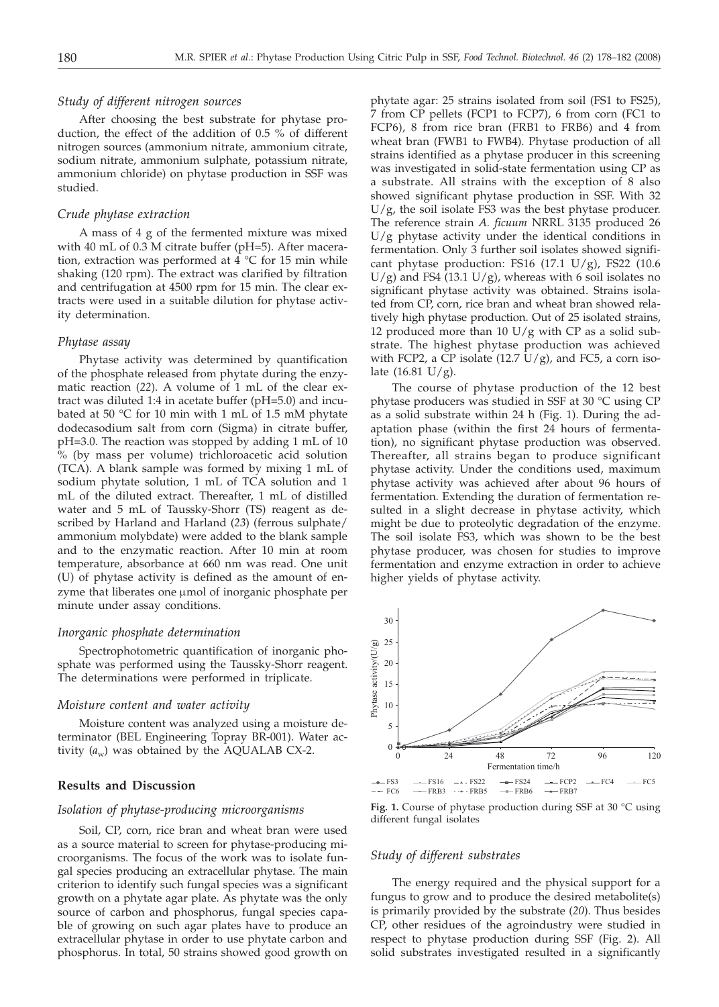## *Study of different nitrogen sources*

After choosing the best substrate for phytase production, the effect of the addition of 0.5 % of different nitrogen sources (ammonium nitrate, ammonium citrate, sodium nitrate, ammonium sulphate, potassium nitrate, ammonium chloride) on phytase production in SSF was studied.

#### *Crude phytase extraction*

A mass of 4 g of the fermented mixture was mixed with 40 mL of 0.3 M citrate buffer (pH=5). After maceration, extraction was performed at 4 °C for 15 min while shaking (120 rpm). The extract was clarified by filtration and centrifugation at 4500 rpm for 15 min. The clear extracts were used in a suitable dilution for phytase activity determination.

#### *Phytase assay*

Phytase activity was determined by quantification of the phosphate released from phytate during the enzymatic reaction (*22*). A volume of 1 mL of the clear extract was diluted 1:4 in acetate buffer (pH=5.0) and incubated at 50 °C for 10 min with 1 mL of 1.5 mM phytate dodecasodium salt from corn (Sigma) in citrate buffer, pH=3.0. The reaction was stopped by adding 1 mL of 10 % (by mass per volume) trichloroacetic acid solution (TCA). A blank sample was formed by mixing 1 mL of sodium phytate solution, 1 mL of TCA solution and 1 mL of the diluted extract. Thereafter, 1 mL of distilled water and 5 mL of Taussky-Shorr (TS) reagent as described by Harland and Harland (*23*) (ferrous sulphate/ ammonium molybdate) were added to the blank sample and to the enzymatic reaction. After 10 min at room temperature, absorbance at 660 nm was read. One unit (U) of phytase activity is defined as the amount of enzyme that liberates one  $\mu$ mol of inorganic phosphate per minute under assay conditions.

#### *Inorganic phosphate determination*

Spectrophotometric quantification of inorganic phosphate was performed using the Taussky-Shorr reagent. The determinations were performed in triplicate.

## *Moisture content and water activity*

Moisture content was analyzed using a moisture determinator (BEL Engineering Topray BR-001). Water activity  $(a_w)$  was obtained by the AQUALAB CX-2.

# **Results and Discussion**

#### *Isolation of phytase-producing microorganisms*

Soil, CP, corn, rice bran and wheat bran were used as a source material to screen for phytase-producing microorganisms. The focus of the work was to isolate fungal species producing an extracellular phytase. The main criterion to identify such fungal species was a significant growth on a phytate agar plate. As phytate was the only source of carbon and phosphorus, fungal species capable of growing on such agar plates have to produce an extracellular phytase in order to use phytate carbon and phosphorus. In total, 50 strains showed good growth on

phytate agar: 25 strains isolated from soil (FS1 to FS25), 7 from CP pellets (FCP1 to FCP7), 6 from corn (FC1 to FCP6), 8 from rice bran (FRB1 to FRB6) and 4 from wheat bran (FWB1 to FWB4). Phytase production of all strains identified as a phytase producer in this screening was investigated in solid-state fermentation using CP as a substrate. All strains with the exception of 8 also showed significant phytase production in SSF. With 32  $U/g$ , the soil isolate FS3 was the best phytase producer. The reference strain *A. ficuum* NRRL 3135 produced 26 U/g phytase activity under the identical conditions in fermentation. Only 3 further soil isolates showed significant phytase production: FS16  $(17.1 \text{ U/g})$ , FS22  $(10.6 \text{ V})$  $U/g$ ) and FS4 (13.1  $U/g$ ), whereas with 6 soil isolates no significant phytase activity was obtained. Strains isolated from CP, corn, rice bran and wheat bran showed relatively high phytase production. Out of 25 isolated strains, 12 produced more than 10  $U/g$  with CP as a solid substrate. The highest phytase production was achieved with FCP2, a CP isolate  $(12.7 \text{ U/g})$ , and FC5, a corn isolate  $(16.81 \text{ U/g})$ .

The course of phytase production of the 12 best phytase producers was studied in SSF at 30 °C using CP as a solid substrate within 24 h (Fig. 1). During the adaptation phase (within the first 24 hours of fermentation), no significant phytase production was observed. Thereafter, all strains began to produce significant phytase activity. Under the conditions used, maximum phytase activity was achieved after about 96 hours of fermentation. Extending the duration of fermentation resulted in a slight decrease in phytase activity, which might be due to proteolytic degradation of the enzyme. The soil isolate FS3, which was shown to be the best phytase producer, was chosen for studies to improve fermentation and enzyme extraction in order to achieve higher yields of phytase activity.



**Fig. 1.** Course of phytase production during SSF at 30 °C using different fungal isolates

# *Study of different substrates*

The energy required and the physical support for a fungus to grow and to produce the desired metabolite(s) is primarily provided by the substrate (*20*). Thus besides CP, other residues of the agroindustry were studied in respect to phytase production during SSF (Fig. 2). All solid substrates investigated resulted in a significantly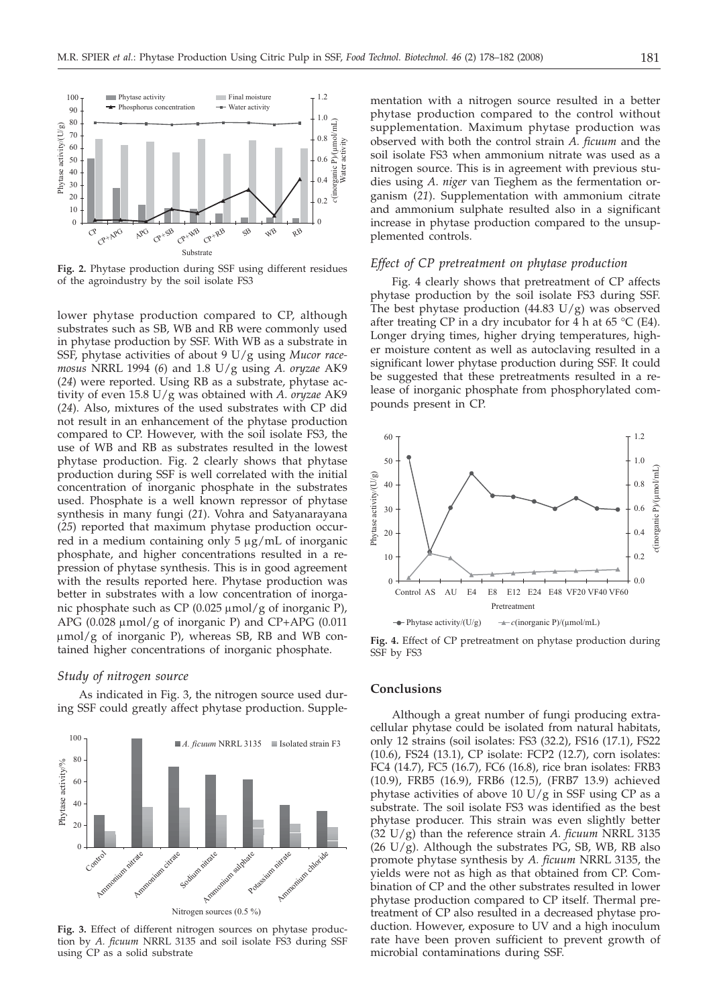

**Fig. 2.** Phytase production during SSF using different residues of the agroindustry by the soil isolate FS3

lower phytase production compared to CP, although substrates such as SB, WB and RB were commonly used in phytase production by SSF. With WB as a substrate in SSF, phytase activities of about 9 U/g using *Mucor racemosus* NRRL 1994 (*6*) and 1.8 U/g using *A. oryzae* AK9 (*24*) were reported. Using RB as a substrate, phytase activity of even 15.8 U/g was obtained with *A. oryzae* AK9 (*24*). Also, mixtures of the used substrates with CP did not result in an enhancement of the phytase production compared to CP. However, with the soil isolate FS3, the use of WB and RB as substrates resulted in the lowest phytase production. Fig. 2 clearly shows that phytase production during SSF is well correlated with the initial concentration of inorganic phosphate in the substrates used. Phosphate is a well known repressor of phytase synthesis in many fungi (*21*). Vohra and Satyanarayana (*25*) reported that maximum phytase production occurred in a medium containing only  $5 \mu g/mL$  of inorganic phosphate, and higher concentrations resulted in a repression of phytase synthesis. This is in good agreement with the results reported here. Phytase production was better in substrates with a low concentration of inorganic phosphate such as CP (0.025  $\mu$ mol/g of inorganic P), APG  $(0.028 \mu \text{mol/g of inorganic P})$  and CP+APG  $(0.011$  $\mu$ mol/g of inorganic P), whereas SB, RB and WB contained higher concentrations of inorganic phosphate.

#### *Study of nitrogen source*

As indicated in Fig. 3, the nitrogen source used during SSF could greatly affect phytase production. Supple-



**Fig. 3.** Effect of different nitrogen sources on phytase production by *A. ficuum* NRRL 3135 and soil isolate FS3 during SSF using CP as a solid substrate

mentation with a nitrogen source resulted in a better phytase production compared to the control without supplementation. Maximum phytase production was observed with both the control strain *A. ficuum* and the soil isolate FS3 when ammonium nitrate was used as a nitrogen source. This is in agreement with previous studies using *A*. *niger* van Tieghem as the fermentation organism (*21*). Supplementation with ammonium citrate and ammonium sulphate resulted also in a significant increase in phytase production compared to the unsupplemented controls.

# *Effect of CP pretreatment on phytase production*

Fig. 4 clearly shows that pretreatment of CP affects phytase production by the soil isolate FS3 during SSF. The best phytase production  $(44.83 \text{ U/g})$  was observed after treating CP in a dry incubator for 4 h at  $65 \text{ °C}$  (E4). Longer drying times, higher drying temperatures, higher moisture content as well as autoclaving resulted in a significant lower phytase production during SSF. It could be suggested that these pretreatments resulted in a release of inorganic phosphate from phosphorylated compounds present in CP.



**Fig. 4.** Effect of CP pretreatment on phytase production during SSF by FS3

#### **Conclusions**

Although a great number of fungi producing extracellular phytase could be isolated from natural habitats, only 12 strains (soil isolates: FS3 (32.2), FS16 (17.1), FS22 (10.6), FS24 (13.1), CP isolate: FCP2 (12.7), corn isolates: FC4 (14.7), FC5 (16.7), FC6 (16.8), rice bran isolates: FRB3 (10.9), FRB5 (16.9), FRB6 (12.5), (FRB7 13.9) achieved phytase activities of above 10  $U/g$  in SSF using CP as a substrate. The soil isolate FS3 was identified as the best phytase producer. This strain was even slightly better (32 U/g) than the reference strain *A. ficuum* NRRL 3135  $(26 \text{ U/g})$ . Although the substrates PG, SB, WB, RB also promote phytase synthesis by *A. ficuum* NRRL 3135, the yields were not as high as that obtained from CP. Combination of CP and the other substrates resulted in lower phytase production compared to CP itself. Thermal pretreatment of CP also resulted in a decreased phytase production. However, exposure to UV and a high inoculum rate have been proven sufficient to prevent growth of microbial contaminations during SSF.